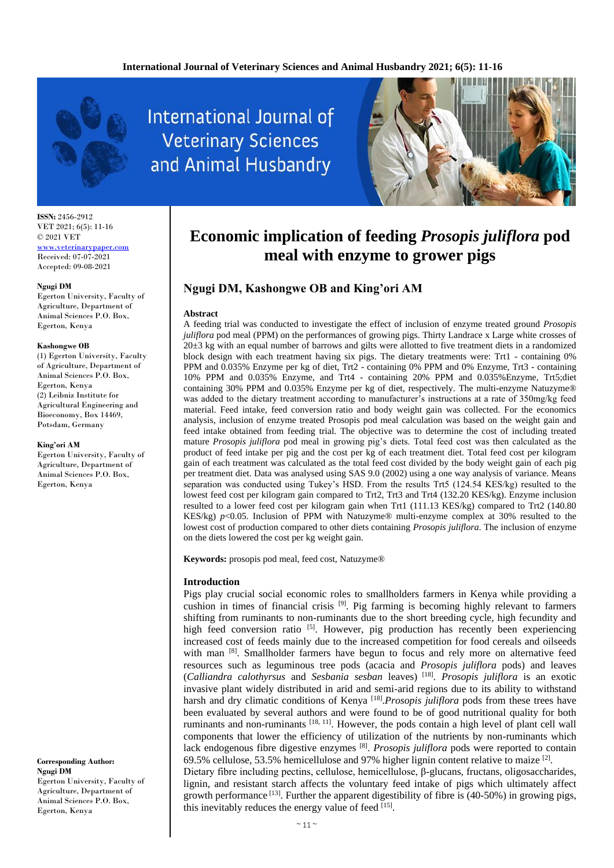

**ISSN:** 2456-2912 VET 2021; 6(5): 11-16 © 2021 VET <www.veterinarypaper.com> Received: 07-07-2021 Accepted: 09-08-2021

#### **Ngugi DM**

Egerton University, Faculty of Agriculture, Department of Animal Sciences P.O. Box, Egerton, Kenya

#### **Kashongwe OB**

(1) Egerton University, Faculty of Agriculture, Department of Animal Sciences P.O. Box, Egerton, Kenya (2) Leibniz Institute for Agricultural Engineering and Bioeconomy, Box 14469, Potsdam, Germany

#### **King'ori AM**

Egerton University, Faculty of Agriculture, Department of Animal Sciences P.O. Box, Egerton, Kenya

**Corresponding Author: Ngugi DM** Egerton University, Faculty of Agriculture, Department of Animal Sciences P.O. Box, Egerton, Kenya

**International Journal of Veterinary Sciences** and Animal Husbandry



# **Economic implication of feeding** *Prosopis juliflora* **pod meal with enzyme to grower pigs**

## **Ngugi DM, Kashongwe OB and King'ori AM**

## **Abstract**

A feeding trial was conducted to investigate the effect of inclusion of enzyme treated ground *Prosopis juliflora* pod meal (PPM) on the performances of growing pigs. Thirty Landrace x Large white crosses of  $20±3$  kg with an equal number of barrows and gilts were allotted to five treatment diets in a randomized block design with each treatment having six pigs. The dietary treatments were: Trt1 - containing 0% PPM and 0.035% Enzyme per kg of diet, Trt2 - containing 0% PPM and 0% Enzyme, Trt3 - containing 10% PPM and 0.035% Enzyme, and Trt4 - containing 20% PPM and 0.035%Enzyme, Trt5;diet containing 30% PPM and 0.035% Enzyme per kg of diet, respectively. The multi-enzyme Natuzyme® was added to the dietary treatment according to manufacturer's instructions at a rate of 350mg/kg feed material. Feed intake, feed conversion ratio and body weight gain was collected. For the economics analysis, inclusion of enzyme treated Prosopis pod meal calculation was based on the weight gain and feed intake obtained from feeding trial. The objective was to determine the cost of including treated mature *Prosopis juliflora* pod meal in growing pig's diets. Total feed cost was then calculated as the product of feed intake per pig and the cost per kg of each treatment diet. Total feed cost per kilogram gain of each treatment was calculated as the total feed cost divided by the body weight gain of each pig per treatment diet. Data was analysed using SAS 9.0 (2002) using a one way analysis of variance. Means separation was conducted using Tukey's HSD. From the results Trt5 (124.54 KES/kg) resulted to the lowest feed cost per kilogram gain compared to Trt2, Trt3 and Trt4 (132.20 KES/kg). Enzyme inclusion resulted to a lower feed cost per kilogram gain when Trt1 (111.13 KES/kg) compared to Trt2 (140.80 KES/kg) *p*<0.05. Inclusion of PPM with Natuzyme® multi-enzyme complex at 30% resulted to the lowest cost of production compared to other diets containing *Prosopis juliflora*. The inclusion of enzyme on the diets lowered the cost per kg weight gain.

**Keywords:** prosopis pod meal, feed cost, Natuzyme®

## **Introduction**

Pigs play crucial social economic roles to smallholders farmers in Kenya while providing a cushion in times of financial crisis [9]. Pig farming is becoming highly relevant to farmers shifting from ruminants to non-ruminants due to the short breeding cycle, high fecundity and high feed conversion ratio [5]. However, pig production has recently been experiencing increased cost of feeds mainly due to the increased competition for food cereals and oilseeds with man [8]. Smallholder farmers have begun to focus and rely more on alternative feed resources such as leguminous tree pods (acacia and *Prosopis juliflora* pods) and leaves (*Calliandra calothyrsus* and *Sesbania sesban* leaves) [18] . *Prosopis juliflora* is an exotic invasive plant widely distributed in arid and semi-arid regions due to its ability to withstand harsh and dry climatic conditions of Kenya<sup>[18]</sup>. Prosopis juliflora pods from these trees have been evaluated by several authors and were found to be of good nutritional quality for both ruminants and non-ruminants [18, 11]. However, the pods contain a high level of plant cell wall components that lower the efficiency of utilization of the nutrients by non-ruminants which lack endogenous fibre digestive enzymes <sup>[8]</sup>. *Prosopis juliflora* pods were reported to contain 69.5% cellulose, 53.5% hemicellulose and 97% higher lignin content relative to maize  $[2]$ .

Dietary fibre including pectins, cellulose, hemicellulose, β-glucans, fructans, oligosaccharides, lignin, and resistant starch affects the voluntary feed intake of pigs which ultimately affect growth performance  $^{[13]}$ . Further the apparent digestibility of fibre is (40-50%) in growing pigs, this inevitably reduces the energy value of feed [15].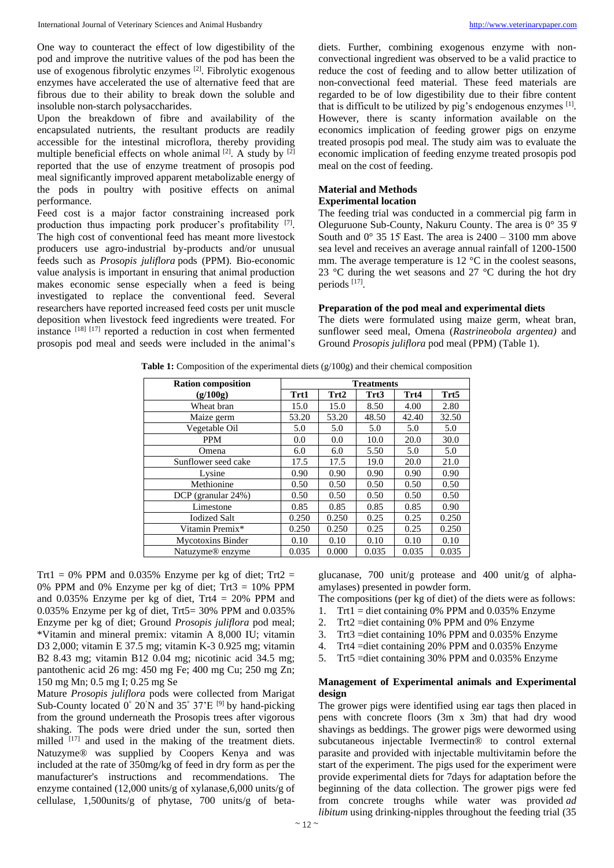One way to counteract the effect of low digestibility of the pod and improve the nutritive values of the pod has been the use of exogenous fibrolytic enzymes [2]. Fibrolytic exogenous enzymes have accelerated the use of alternative feed that are fibrous due to their ability to break down the soluble and insoluble non-starch polysaccharides.

Upon the breakdown of fibre and availability of the encapsulated nutrients, the resultant products are readily accessible for the intestinal microflora, thereby providing multiple beneficial effects on whole animal  $[2]$ . A study by  $[2]$ reported that the use of enzyme treatment of prosopis pod meal significantly improved apparent metabolizable energy of the pods in poultry with positive effects on animal performance.

Feed cost is a major factor constraining increased pork production thus impacting pork producer's profitability [7]. The high cost of conventional feed has meant more livestock producers use agro-industrial by-products and/or unusual feeds such as *Prosopis juliflora* pods (PPM). Bio-economic value analysis is important in ensuring that animal production makes economic sense especially when a feed is being investigated to replace the conventional feed. Several researchers have reported increased feed costs per unit muscle deposition when livestock feed ingredients were treated. For instance [18] [17] reported a reduction in cost when fermented prosopis pod meal and seeds were included in the animal's

diets. Further, combining exogenous enzyme with nonconvectional ingredient was observed to be a valid practice to reduce the cost of feeding and to allow better utilization of non-convectional feed material. These feed materials are regarded to be of low digestibility due to their fibre content that is difficult to be utilized by pig's endogenous enzymes [1] . However, there is scanty information available on the economics implication of feeding grower pigs on enzyme treated prosopis pod meal. The study aim was to evaluate the economic implication of feeding enzyme treated prosopis pod meal on the cost of feeding.

## **Material and Methods Experimental location**

The feeding trial was conducted in a commercial pig farm in Oleguruone Sub-County, Nakuru County. The area is 0° 35 9̍ South and  $0^{\circ}$  35 15 East. The area is 2400 – 3100 mm above sea level and receives an average annual rainfall of 1200-1500 mm. The average temperature is 12 °C in the coolest seasons, 23 °C during the wet seasons and 27 °C during the hot dry periods [17] .

## **Preparation of the pod meal and experimental diets**

The diets were formulated using maize germ, wheat bran, sunflower seed meal, Omena (*Rastrineobola argentea)* and Ground *Prosopis juliflora* pod meal (PPM) (Table 1).

|  |  | Table 1: Composition of the experimental diets $(g/100g)$ and their chemical composition |  |  |  |
|--|--|------------------------------------------------------------------------------------------|--|--|--|
|  |  |                                                                                          |  |  |  |

| <b>Ration composition</b>    |       | <b>Treatments</b> |       |       |       |  |  |  |
|------------------------------|-------|-------------------|-------|-------|-------|--|--|--|
| (g/100g)                     | Trt1  | Trt2              | Trt3  | Trt4  | Trt5  |  |  |  |
| Wheat bran                   | 15.0  | 15.0              | 8.50  | 4.00  | 2.80  |  |  |  |
| Maize germ                   | 53.20 | 53.20             | 48.50 | 42.40 | 32.50 |  |  |  |
| Vegetable Oil                | 5.0   | 5.0               | 5.0   | 5.0   | 5.0   |  |  |  |
| <b>PPM</b>                   | 0.0   | 0.0               | 10.0  | 20.0  | 30.0  |  |  |  |
| Omena                        | 6.0   | 6.0               | 5.50  | 5.0   | 5.0   |  |  |  |
| Sunflower seed cake          | 17.5  | 17.5              | 19.0  | 20.0  | 21.0  |  |  |  |
| Lysine                       | 0.90  | 0.90              | 0.90  | 0.90  | 0.90  |  |  |  |
| Methionine                   | 0.50  | 0.50              | 0.50  | 0.50  | 0.50  |  |  |  |
| DCP (granular 24%)           | 0.50  | 0.50              | 0.50  | 0.50  | 0.50  |  |  |  |
| Limestone                    | 0.85  | 0.85              | 0.85  | 0.85  | 0.90  |  |  |  |
| <b>Iodized Salt</b>          | 0.250 | 0.250             | 0.25  | 0.25  | 0.250 |  |  |  |
| Vitamin Premix*              | 0.250 | 0.250             | 0.25  | 0.25  | 0.250 |  |  |  |
| <b>Mycotoxins Binder</b>     | 0.10  | 0.10              | 0.10  | 0.10  | 0.10  |  |  |  |
| Natuzyme <sup>®</sup> enzyme | 0.035 | 0.000             | 0.035 | 0.035 | 0.035 |  |  |  |

Trt1 = 0% PPM and 0.035% Enzyme per kg of diet; Trt2 = 0% PPM and 0% Enzyme per kg of diet; Trt3 = 10% PPM and  $0.035\%$  Enzyme per kg of diet, Trt4 = 20% PPM and 0.035% Enzyme per kg of diet, Trt5= 30% PPM and 0.035% Enzyme per kg of diet; Ground *Prosopis juliflora* pod meal; \*Vitamin and mineral premix: vitamin A 8,000 IU; vitamin D3 2,000; vitamin E 37.5 mg; vitamin K-3 0.925 mg; vitamin B2 8.43 mg; vitamin B12 0.04 mg; nicotinic acid 34.5 mg; pantothenic acid 26 mg: 450 mg Fe; 400 mg Cu; 250 mg Zn; 150 mg Mn; 0.5 mg I; 0.25 mg Se

Mature *Prosopis juliflora* pods were collected from Marigat Sub-County located  $0^{\circ}$  20'N and 35 $^{\circ}$  37'E <sup>[9]</sup> by hand-picking from the ground underneath the Prosopis trees after vigorous shaking. The pods were dried under the sun, sorted then milled  $[17]$  and used in the making of the treatment diets. Natuzyme® was supplied by Coopers Kenya and was included at the rate of 350mg/kg of feed in dry form as per the manufacturer's instructions and recommendations. The enzyme contained (12,000 units/g of xylanase,6,000 units/g of cellulase, 1,500units/g of phytase, 700 units/g of betaglucanase, 700 unit/g protease and 400 unit/g of alphaamylases) presented in powder form.

- The compositions (per kg of diet) of the diets were as follows:
- 1. Trt1 = diet containing 0% PPM and  $0.035%$  Enzyme
- 2. Trt2 =diet containing 0% PPM and 0% Enzyme
- 3. Trt3 =diet containing 10% PPM and 0.035% Enzyme
- 4. Trt4 =diet containing 20% PPM and 0.035% Enzyme
- 5. Trt5 =diet containing 30% PPM and 0.035% Enzyme

## **Management of Experimental animals and Experimental design**

The grower pigs were identified using ear tags then placed in pens with concrete floors (3m x 3m) that had dry wood shavings as beddings. The grower pigs were dewormed using subcutaneous injectable Ivermectin® to control external parasite and provided with injectable multivitamin before the start of the experiment. The pigs used for the experiment were provide experimental diets for 7days for adaptation before the beginning of the data collection. The grower pigs were fed from concrete troughs while water was provided *ad libitum* using drinking-nipples throughout the feeding trial (35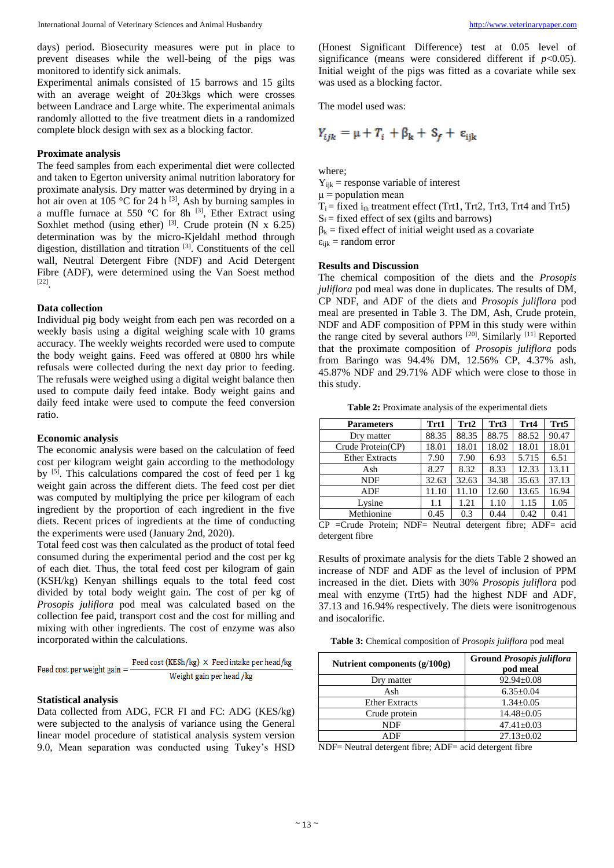days) period. Biosecurity measures were put in place to prevent diseases while the well-being of the pigs was monitored to identify sick animals.

Experimental animals consisted of 15 barrows and 15 gilts with an average weight of 20±3kgs which were crosses between Landrace and Large white. The experimental animals randomly allotted to the five treatment diets in a randomized complete block design with sex as a blocking factor.

## **Proximate analysis**

The feed samples from each experimental diet were collected and taken to Egerton university animal nutrition laboratory for proximate analysis. Dry matter was determined by drying in a hot air oven at  $105 \text{ °C}$  for 24 h  $^{[3]}$ , Ash by burning samples in a muffle furnace at 550  $^{\circ}$ C for 8h <sup>[3]</sup>, Ether Extract using Soxhlet method (using ether)  $[3]$ . Crude protein (N x 6.25) determination was by the micro-Kjeldahl method through digestion, distillation and titration [3] . Constituents of the cell wall, Neutral Detergent Fibre (NDF) and Acid Detergent Fibre (ADF), were determined using the Van Soest method [22] .

## **Data collection**

Individual pig body weight from each pen was recorded on a weekly basis using a digital weighing scale with 10 grams accuracy. The weekly weights recorded were used to compute the body weight gains. Feed was offered at 0800 hrs while refusals were collected during the next day prior to feeding. The refusals were weighed using a digital weight balance then used to compute daily feed intake. Body weight gains and daily feed intake were used to compute the feed conversion ratio.

#### **Economic analysis**

The economic analysis were based on the calculation of feed cost per kilogram weight gain according to the methodology by <sup>[5]</sup>. This calculations compared the cost of feed per 1 kg weight gain across the different diets. The feed cost per diet was computed by multiplying the price per kilogram of each ingredient by the proportion of each ingredient in the five diets. Recent prices of ingredients at the time of conducting the experiments were used (January 2nd, 2020).

Total feed cost was then calculated as the product of total feed consumed during the experimental period and the cost per kg of each diet. Thus, the total feed cost per kilogram of gain (KSH/kg) Kenyan shillings equals to the total feed cost divided by total body weight gain. The cost of per kg of *Prosopis juliflora* pod meal was calculated based on the collection fee paid, transport cost and the cost for milling and mixing with other ingredients. The cost of enzyme was also incorporated within the calculations.

| Feed cost per weight gain $=$ - | Feed cost (KESh/kg) $\times$ Feed intake per head/kg |
|---------------------------------|------------------------------------------------------|
|                                 | Weight gain per head /kg                             |

#### **Statistical analysis**

Data collected from ADG, FCR FI and FC: ADG (KES/kg) were subjected to the analysis of variance using the General linear model procedure of statistical analysis system version 9.0, Mean separation was conducted using Tukey's HSD

(Honest Significant Difference) test at 0.05 level of significance (means were considered different if  $p<0.05$ ). Initial weight of the pigs was fitted as a covariate while sex was used as a blocking factor.

The model used was:

$$
Y_{ijk} = \mu + T_i + \beta_k + S_f + \varepsilon_{ijk}
$$

where;

 $Y_{ijk}$  = response variable of interest

 $\mu$  = population mean

 $T_i$  = fixed  $i_{th}$  treatment effect (Trt1, Trt2, Trt3, Trt4 and Trt5)

 $S_f$  = fixed effect of sex (gilts and barrows)

 $\beta_k$  = fixed effect of initial weight used as a covariate

 $\varepsilon_{ijk}$  = random error

#### **Results and Discussion**

The chemical composition of the diets and the *Prosopis juliflora* pod meal was done in duplicates. The results of DM, CP NDF, and ADF of the diets and *Prosopis juliflora* pod meal are presented in Table 3. The DM, Ash, Crude protein, NDF and ADF composition of PPM in this study were within the range cited by several authors <sup>[20]</sup>. Similarly <sup>[11]</sup> Reported that the proximate composition of *Prosopis juliflora* pods from Baringo was 94.4% DM, 12.56% CP, 4.37% ash, 45.87% NDF and 29.71% ADF which were close to those in this study.

**Table 2:** Proximate analysis of the experimental diets

|       | Trt2       | Trt3  | Trt4  | Trt5                                                                                                                                                                                                                                                                                                                               |
|-------|------------|-------|-------|------------------------------------------------------------------------------------------------------------------------------------------------------------------------------------------------------------------------------------------------------------------------------------------------------------------------------------|
| 88.35 | 88.35      | 88.75 | 88.52 | 90.47                                                                                                                                                                                                                                                                                                                              |
| 18.01 | 18.01      | 18.02 | 18.01 | 18.01                                                                                                                                                                                                                                                                                                                              |
| 7.90  | 7.90       | 6.93  | 5.715 | 6.51                                                                                                                                                                                                                                                                                                                               |
| 8.27  | 8.32       | 8.33  | 12.33 | 13.11                                                                                                                                                                                                                                                                                                                              |
| 32.63 | 32.63      | 34.38 | 35.63 | 37.13                                                                                                                                                                                                                                                                                                                              |
| 11.10 | 11.10      | 12.60 | 13.65 | 16.94                                                                                                                                                                                                                                                                                                                              |
| 1.1   | 1.21       | 1.10  | 1.15  | 1.05                                                                                                                                                                                                                                                                                                                               |
| 0.45  | 0.3        | 0.44  | 0.42  | 0.41                                                                                                                                                                                                                                                                                                                               |
|       | $\sqrt{2}$ |       |       | $\mathbf{v}$ $\mathbf{v}$ $\mathbf{v}$ $\mathbf{v}$ $\mathbf{v}$ $\mathbf{v}$ $\mathbf{v}$ $\mathbf{v}$ $\mathbf{v}$ $\mathbf{v}$ $\mathbf{v}$ $\mathbf{v}$ $\mathbf{v}$ $\mathbf{v}$ $\mathbf{v}$ $\mathbf{v}$ $\mathbf{v}$ $\mathbf{v}$ $\mathbf{v}$ $\mathbf{v}$ $\mathbf{v}$ $\mathbf{v}$ $\mathbf{v}$ $\mathbf{v}$ $\mathbf{$ |

CP **=**Crude Protein; NDF= Neutral detergent fibre; ADF= acid detergent fibre

Results of proximate analysis for the diets Table 2 showed an increase of NDF and ADF as the level of inclusion of PPM increased in the diet. Diets with 30% *Prosopis juliflora* pod meal with enzyme (Trt5) had the highest NDF and ADF, 37.13 and 16.94% respectively. The diets were isonitrogenous and isocalorific.

**Table 3:** Chemical composition of *Prosopis juliflora* pod meal

| Nutrient components (g/100g) | <b>Ground Prosopis juliflora</b><br>pod meal |  |  |  |
|------------------------------|----------------------------------------------|--|--|--|
| Dry matter                   | $92.94 \pm 0.08$                             |  |  |  |
| Ash                          | $6.35 \pm 0.04$                              |  |  |  |
| <b>Ether Extracts</b>        | $1.34 \pm 0.05$                              |  |  |  |
| Crude protein                | $14.48 \pm 0.05$                             |  |  |  |
| NDF                          | $47.41 \pm 0.03$                             |  |  |  |
| ADF                          | $27.13 \pm 0.02$                             |  |  |  |

NDF= Neutral detergent fibre; ADF= acid detergent fibre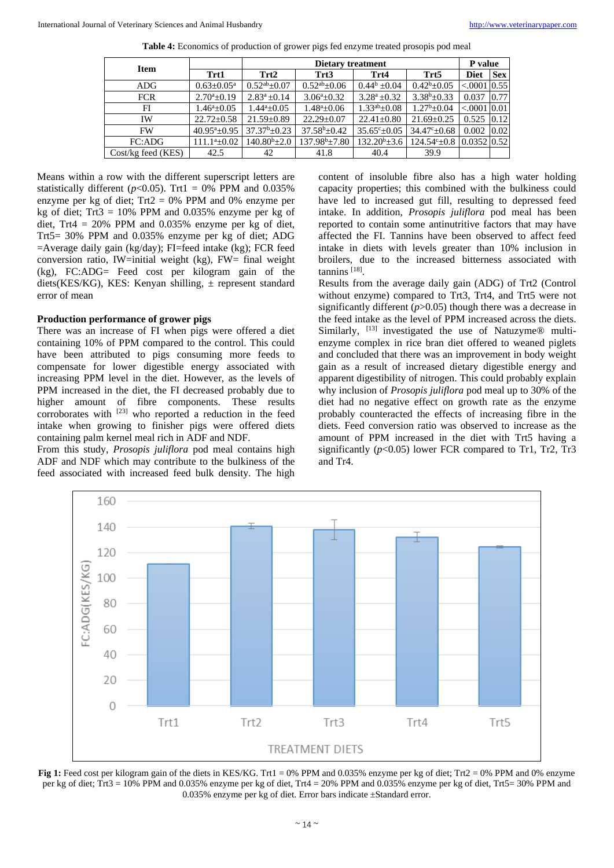| <b>Item</b>        |                            |                      | P value                   |                          |                                                  |                |      |
|--------------------|----------------------------|----------------------|---------------------------|--------------------------|--------------------------------------------------|----------------|------|
|                    | Trt1                       | Trt2                 | Trt3                      | Trt4                     | Trt5                                             | <b>Diet</b>    | Sex  |
| ADG.               | $0.63 \pm 0.05^{\text{a}}$ | $0.52^{ab} \pm 0.07$ | $0.52^\text{ab} \pm 0.06$ | $0.44^b \pm 0.04$        | $0.42^b \pm 0.05$                                | $< 0001$ 0.55  |      |
| <b>FCR</b>         | $2.70^a \pm 0.19$          | $2.83^a \pm 0.14$    | $3.06^a \pm 0.32$         | $3.28^a \pm 0.32$        | $3.38^b \pm 0.33$                                | 0.037          | 0.77 |
| FI                 | $1.46^a \pm 0.05$          | $1.44^a \pm 0.05$    | $1.48^a \pm 0.06$         | $1.33^{ab} \pm 0.08$     | $1.27^b \pm 0.04$                                | $< 0.001$ 0.01 |      |
| IW                 | $22.72 \pm 0.58$           | $21.59 \pm 0.89$     | $22.29 \pm 0.07$          | $22.41 \pm 0.80$         | $21.69 \pm 0.25$                                 | $0.525$ $0.12$ |      |
| <b>FW</b>          | $40.95^a \pm 0.95$         | $37.37^b \pm 0.23$   | $37.58^b \pm 0.42$        | $35.65^{\circ} \pm 0.05$ | $34.47^{\circ}$ ± 0.68                           | 0.002          | 0.02 |
| FC:ADG             | $111.1^a \pm 0.02$         | $140.80^{b} \pm 2.0$ | $137.98^{\rm b}$ ±7.80    | $132.20^b \pm 3.6$       | $124.54^{\circ}$ = 0.8 $\mid$ 0.0352 $\mid$ 0.52 |                |      |
| Cost/kg feed (KES) | 42.5                       | 42                   | 41.8                      | 40.4                     | 39.9                                             |                |      |

**Table 4:** Economics of production of grower pigs fed enzyme treated prosopis pod meal

Means within a row with the different superscript letters are statistically different ( $p<0.05$ ). Trt1 = 0% PPM and 0.035% enzyme per kg of diet;  $Trt2 = 0%$  PPM and 0% enzyme per kg of diet; Trt $3 = 10\%$  PPM and 0.035% enzyme per kg of diet, Trt4 =  $20\%$  PPM and 0.035% enzyme per kg of diet, Trt5= 30% PPM and 0.035% enzyme per kg of diet; ADG =Average daily gain (kg/day); FI=feed intake (kg); FCR feed conversion ratio, IW=initial weight (kg), FW= final weight (kg), FC:ADG= Feed cost per kilogram gain of the diets(KES/KG), KES: Kenyan shilling,  $\pm$  represent standard error of mean

## **Production performance of grower pigs**

There was an increase of FI when pigs were offered a diet containing 10% of PPM compared to the control. This could have been attributed to pigs consuming more feeds to compensate for lower digestible energy associated with increasing PPM level in the diet. However, as the levels of PPM increased in the diet, the FI decreased probably due to higher amount of fibre components. These results corroborates with  $[23]$  who reported a reduction in the feed intake when growing to finisher pigs were offered diets containing palm kernel meal rich in ADF and NDF.

From this study, *Prosopis juliflora* pod meal contains high ADF and NDF which may contribute to the bulkiness of the feed associated with increased feed bulk density. The high

content of insoluble fibre also has a high water holding capacity properties; this combined with the bulkiness could have led to increased gut fill, resulting to depressed feed intake. In addition, *Prosopis juliflora* pod meal has been reported to contain some antinutritive factors that may have affected the FI. Tannins have been observed to affect feed intake in diets with levels greater than 10% inclusion in broilers, due to the increased bitterness associated with tannins [18] .

Results from the average daily gain (ADG) of Trt2 (Control without enzyme) compared to Trt3, Trt4, and Trt5 were not significantly different  $(p>0.05)$  though there was a decrease in the feed intake as the level of PPM increased across the diets. Similarly, <sup>[13]</sup> investigated the use of Natuzyme® multienzyme complex in rice bran diet offered to weaned piglets and concluded that there was an improvement in body weight gain as a result of increased dietary digestible energy and apparent digestibility of nitrogen. This could probably explain why inclusion of *Prosopis juliflora* pod meal up to 30% of the diet had no negative effect on growth rate as the enzyme probably counteracted the effects of increasing fibre in the diets. Feed conversion ratio was observed to increase as the amount of PPM increased in the diet with Trt5 having a significantly (*p*<0.05) lower FCR compared to Tr1, Tr2, Tr3 and Tr4.



**Fig 1:** Feed cost per kilogram gain of the diets in KES/KG. Trt1 = 0% PPM and 0.035% enzyme per kg of diet; Trt2 = 0% PPM and 0% enzyme per kg of diet; Trt3 = 10% PPM and 0.035% enzyme per kg of diet, Trt4 = 20% PPM and 0.035% enzyme per kg of diet, Trt5= 30% PPM and 0.035% enzyme per kg of diet. Error bars indicate ±Standard error.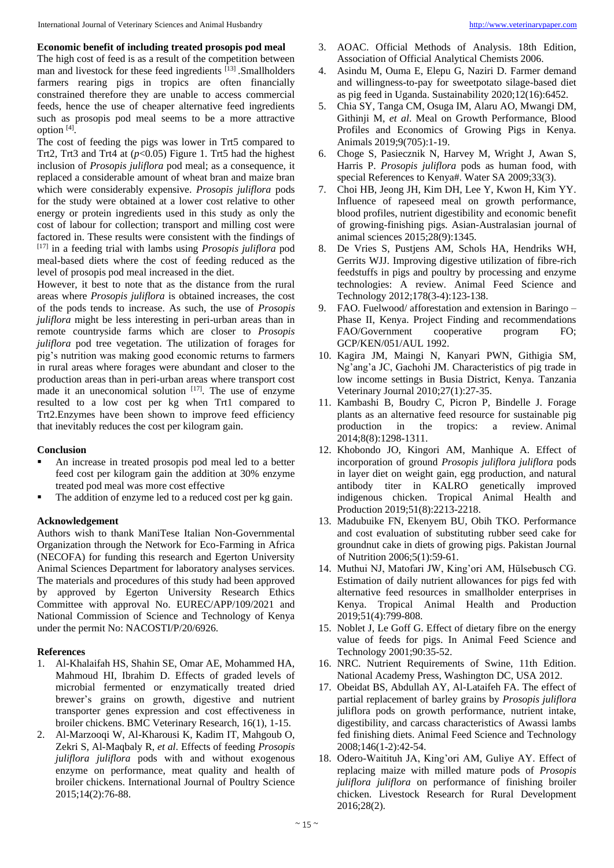## **Economic benefit of including treated prosopis pod meal**

The high cost of feed is as a result of the competition between man and livestock for these feed ingredients <sup>[13]</sup> .Smallholders farmers rearing pigs in tropics are often financially constrained therefore they are unable to access commercial feeds, hence the use of cheaper alternative feed ingredients such as prosopis pod meal seems to be a more attractive option [4] .

The cost of feeding the pigs was lower in Trt5 compared to Trt2, Trt3 and Trt4 at (*p*<0.05) Figure 1. Trt5 had the highest inclusion of *Prosopis juliflora* pod meal; as a consequence, it replaced a considerable amount of wheat bran and maize bran which were considerably expensive. *Prosopis juliflora* pods for the study were obtained at a lower cost relative to other energy or protein ingredients used in this study as only the cost of labour for collection; transport and milling cost were factored in. These results were consistent with the findings of [17] in a feeding trial with lambs using *Prosopis juliflora* pod meal-based diets where the cost of feeding reduced as the level of prosopis pod meal increased in the diet.

However, it best to note that as the distance from the rural areas where *Prosopis juliflora* is obtained increases, the cost of the pods tends to increase. As such, the use of *Prosopis juliflora* might be less interesting in peri-urban areas than in remote countryside farms which are closer to *Prosopis juliflora* pod tree vegetation. The utilization of forages for pig's nutrition was making good economic returns to farmers in rural areas where forages were abundant and closer to the production areas than in peri-urban areas where transport cost made it an uneconomical solution  $[17]$ . The use of enzyme resulted to a low cost per kg when Trt1 compared to Trt2.Enzymes have been shown to improve feed efficiency that inevitably reduces the cost per kilogram gain.

## **Conclusion**

- An increase in treated prosopis pod meal led to a better feed cost per kilogram gain the addition at 30% enzyme treated pod meal was more cost effective
- The addition of enzyme led to a reduced cost per kg gain.

## **Acknowledgement**

Authors wish to thank ManiTese Italian Non-Governmental Organization through the Network for Eco-Farming in Africa (NECOFA) for funding this research and Egerton University Animal Sciences Department for laboratory analyses services. The materials and procedures of this study had been approved by approved by Egerton University Research Ethics Committee with approval No. EUREC/APP/109/2021 and National Commission of Science and Technology of Kenya under the permit No: NACOSTI/P/20/6926.

## **References**

- 1. Al-Khalaifah HS, Shahin SE, Omar AE, Mohammed HA, Mahmoud HI, Ibrahim D. Effects of graded levels of microbial fermented or enzymatically treated dried brewer's grains on growth, digestive and nutrient transporter genes expression and cost effectiveness in broiler chickens. BMC Veterinary Research, 16(1), 1-15.
- 2. Al-Marzooqi W, Al-Kharousi K, Kadim IT, Mahgoub O, Zekri S, Al-Maqbaly R, *et al*. Effects of feeding *Prosopis juliflora juliflora* pods with and without exogenous enzyme on performance, meat quality and health of broiler chickens. International Journal of Poultry Science 2015;14(2):76-88.
- 3. AOAC. Official Methods of Analysis. 18th Edition, Association of Official Analytical Chemists 2006.
- 4. Asindu M, Ouma E, Elepu G, Naziri D. Farmer demand and willingness-to-pay for sweetpotato silage-based diet as pig feed in Uganda. Sustainability 2020;12(16):6452.
- 5. Chia SY, Tanga CM, Osuga IM, Alaru AO, Mwangi DM, Githinji M, *et al*. Meal on Growth Performance, Blood Profiles and Economics of Growing Pigs in Kenya. Animals 2019;9(705):1-19.
- 6. Choge S, Pasiecznik N, Harvey M, Wright J, Awan S, Harris P. *Prosopis juliflora* pods as human food, with special References to Kenya#. Water SA 2009;33(3).
- 7. Choi HB, Jeong JH, Kim DH, Lee Y, Kwon H, Kim YY. Influence of rapeseed meal on growth performance, blood profiles, nutrient digestibility and economic benefit of growing-finishing pigs. Asian-Australasian journal of animal sciences 2015;28(9):1345.
- 8. De Vries S, Pustjens AM, Schols HA, Hendriks WH, Gerrits WJJ. Improving digestive utilization of fibre-rich feedstuffs in pigs and poultry by processing and enzyme technologies: A review. Animal Feed Science and Technology 2012;178(3-4):123-138.
- 9. FAO. Fuelwood/ afforestation and extension in Baringo Phase II, Kenya. Project Finding and recommendations FAO/Government cooperative program FO; GCP/KEN/051/AUL 1992.
- 10. Kagira JM, Maingi N, Kanyari PWN, Githigia SM, Ng'ang'a JC, Gachohi JM. Characteristics of pig trade in low income settings in Busia District, Kenya. Tanzania Veterinary Journal 2010;27(1):27-35.
- 11. Kambashi B, Boudry C, Picron P, Bindelle J. Forage plants as an alternative feed resource for sustainable pig production in the tropics: a review. Animal 2014;8(8):1298-1311.
- 12. Khobondo JO, Kingori AM, Manhique A. Effect of incorporation of ground *Prosopis juliflora juliflora* pods in layer diet on weight gain, egg production, and natural antibody titer in KALRO genetically improved indigenous chicken. Tropical Animal Health and Production 2019;51(8):2213-2218.
- 13. Madubuike FN, Ekenyem BU, Obih TKO. Performance and cost evaluation of substituting rubber seed cake for groundnut cake in diets of growing pigs. Pakistan Journal of Nutrition 2006;5(1):59-61.
- 14. Muthui NJ, Matofari JW, King'ori AM, Hülsebusch CG. Estimation of daily nutrient allowances for pigs fed with alternative feed resources in smallholder enterprises in Kenya. Tropical Animal Health and Production 2019;51(4):799-808.
- 15. Noblet J, Le Goff G. Effect of dietary fibre on the energy value of feeds for pigs. In Animal Feed Science and Technology 2001;90:35-52.
- 16. NRC. Nutrient Requirements of Swine, 11th Edition. National Academy Press, Washington DC, USA 2012.
- 17. Obeidat BS, Abdullah AY, Al-Lataifeh FA. The effect of partial replacement of barley grains by *Prosopis juliflora* juliflora pods on growth performance, nutrient intake, digestibility, and carcass characteristics of Awassi lambs fed finishing diets. Animal Feed Science and Technology 2008;146(1-2):42-54.
- 18. Odero-Waitituh JA, King'ori AM, Guliye AY. Effect of replacing maize with milled mature pods of *Prosopis juliflora juliflora* on performance of finishing broiler chicken. Livestock Research for Rural Development 2016;28(2).